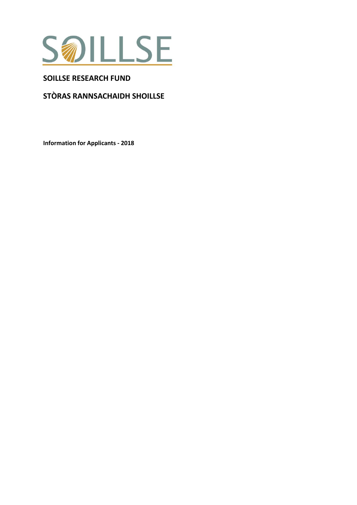

## **SOILLSE RESEARCH FUND**

# **STÒRAS RANNSACHAIDH SHOILLSE**

**Information for Applicants - 2018**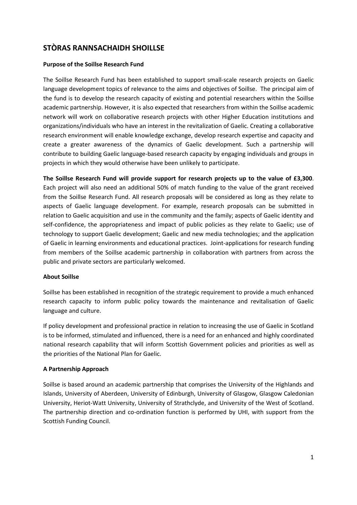# **STÒRAS RANNSACHAIDH SHOILLSE**

#### **Purpose of the Soillse Research Fund**

The Soillse Research Fund has been established to support small-scale research projects on Gaelic language development topics of relevance to the aims and objectives of Soillse. The principal aim of the fund is to develop the research capacity of existing and potential researchers within the Soillse academic partnership. However, it is also expected that researchers from within the Soillse academic network will work on collaborative research projects with other Higher Education institutions and organizations/individuals who have an interest in the revitalization of Gaelic. Creating a collaborative research environment will enable knowledge exchange, develop research expertise and capacity and create a greater awareness of the dynamics of Gaelic development. Such a partnership will contribute to building Gaelic language-based research capacity by engaging individuals and groups in projects in which they would otherwise have been unlikely to participate.

**The Soillse Research Fund will provide support for research projects up to the value of £3,300**. Each project will also need an additional 50% of match funding to the value of the grant received from the Soillse Research Fund. All research proposals will be considered as long as they relate to aspects of Gaelic language development. For example, research proposals can be submitted in relation to Gaelic acquisition and use in the community and the family; aspects of Gaelic identity and self-confidence, the appropriateness and impact of public policies as they relate to Gaelic; use of technology to support Gaelic development; Gaelic and new media technologies; and the application of Gaelic in learning environments and educational practices. Joint-applications for research funding from members of the Soillse academic partnership in collaboration with partners from across the public and private sectors are particularly welcomed.

#### **About Soillse**

Soillse has been established in recognition of the strategic requirement to provide a much enhanced research capacity to inform public policy towards the maintenance and revitalisation of Gaelic language and culture.

If policy development and professional practice in relation to increasing the use of Gaelic in Scotland is to be informed, stimulated and influenced, there is a need for an enhanced and highly coordinated national research capability that will inform Scottish Government policies and priorities as well as the priorities of the National Plan for Gaelic.

## **A Partnership Approach**

Soillse is based around an academic partnership that comprises the University of the Highlands and Islands, University of Aberdeen, University of Edinburgh, University of Glasgow, Glasgow Caledonian University, Heriot-Watt University, University of Strathclyde, and University of the West of Scotland. The partnership direction and co-ordination function is performed by UHI, with support from the Scottish Funding Council.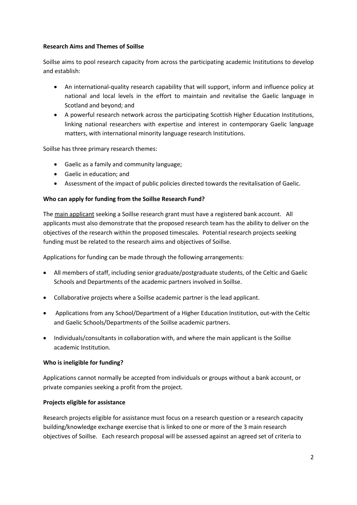## **Research Aims and Themes of Soillse**

Soillse aims to pool research capacity from across the participating academic Institutions to develop and establish:

- An international-quality research capability that will support, inform and influence policy at national and local levels in the effort to maintain and revitalise the Gaelic language in Scotland and beyond; and
- A powerful research network across the participating Scottish Higher Education Institutions, linking national researchers with expertise and interest in contemporary Gaelic language matters, with international minority language research Institutions.

Soillse has three primary research themes:

- Gaelic as a family and community language;
- Gaelic in education; and
- Assessment of the impact of public policies directed towards the revitalisation of Gaelic.

## **Who can apply for funding from the Soillse Research Fund?**

The main applicant seeking a Soillse research grant must have a registered bank account. All applicants must also demonstrate that the proposed research team has the ability to deliver on the objectives of the research within the proposed timescales. Potential research projects seeking funding must be related to the research aims and objectives of Soillse.

Applications for funding can be made through the following arrangements:

- All members of staff, including senior graduate/postgraduate students, of the Celtic and Gaelic Schools and Departments of the academic partners involved in Soillse.
- Collaborative projects where a Soillse academic partner is the lead applicant.
- Applications from any School/Department of a Higher Education Institution, out-with the Celtic and Gaelic Schools/Departments of the Soillse academic partners.
- Individuals/consultants in collaboration with, and where the main applicant is the Soillse academic Institution.

## **Who is ineligible for funding?**

Applications cannot normally be accepted from individuals or groups without a bank account, or private companies seeking a profit from the project.

## **Projects eligible for assistance**

Research projects eligible for assistance must focus on a research question or a research capacity building/knowledge exchange exercise that is linked to one or more of the 3 main research objectives of Soillse. Each research proposal will be assessed against an agreed set of criteria to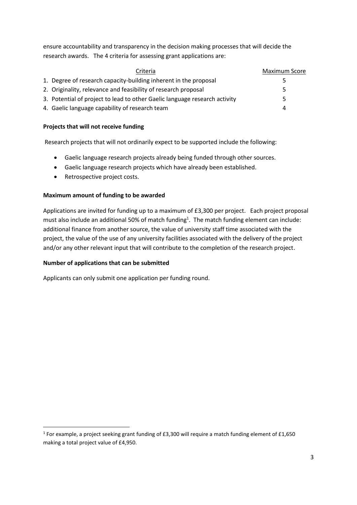ensure accountability and transparency in the decision making processes that will decide the research awards. The 4 criteria for assessing grant applications are:

| Criteria                                                                   | <b>Maximum Score</b> |
|----------------------------------------------------------------------------|----------------------|
| 1. Degree of research capacity-building inherent in the proposal           | Ь                    |
| 2. Originality, relevance and feasibility of research proposal             | 5                    |
| 3. Potential of project to lead to other Gaelic language research activity | 5                    |
| 4. Gaelic language capability of research team                             | Δ                    |

## **Projects that will not receive funding**

Research projects that will not ordinarily expect to be supported include the following:

- Gaelic language research projects already being funded through other sources.
- Gaelic language research projects which have already been established.
- Retrospective project costs.

## **Maximum amount of funding to be awarded**

Applications are invited for funding up to a maximum of £3,300 per project. Each project proposal must also include an additional 50% of match funding<sup>1</sup>. The match funding element can include: additional finance from another source, the value of university staff time associated with the project, the value of the use of any university facilities associated with the delivery of the project and/or any other relevant input that will contribute to the completion of the research project.

## **Number of applications that can be submitted**

**.** 

Applicants can only submit one application per funding round.

<sup>&</sup>lt;sup>1</sup> For example, a project seeking grant funding of £3,300 will require a match funding element of £1,650 making a total project value of £4,950.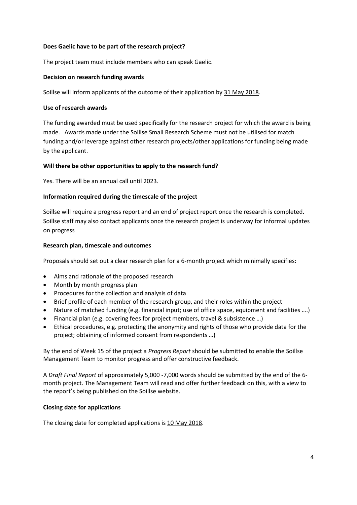#### **Does Gaelic have to be part of the research project?**

The project team must include members who can speak Gaelic.

#### **Decision on research funding awards**

Soillse will inform applicants of the outcome of their application by 31 May 2018.

#### **Use of research awards**

The funding awarded must be used specifically for the research project for which the award is being made. Awards made under the Soillse Small Research Scheme must not be utilised for match funding and/or leverage against other research projects/other applications for funding being made by the applicant.

#### **Will there be other opportunities to apply to the research fund?**

Yes. There will be an annual call until 2023.

## **Information required during the timescale of the project**

Soillse will require a progress report and an end of project report once the research is completed. Soillse staff may also contact applicants once the research project is underway for informal updates on progress

#### **Research plan, timescale and outcomes**

Proposals should set out a clear research plan for a 6-month project which minimally specifies:

- Aims and rationale of the proposed research
- Month by month progress plan
- Procedures for the collection and analysis of data
- Brief profile of each member of the research group, and their roles within the project
- Nature of matched funding (e.g. financial input; use of office space, equipment and facilities ….)
- Financial plan (e.g. covering fees for project members, travel & subsistence …)
- Ethical procedures, e.g. protecting the anonymity and rights of those who provide data for the project; obtaining of informed consent from respondents …)

By the end of Week 15 of the project a *Progress Report* should be submitted to enable the Soillse Management Team to monitor progress and offer constructive feedback.

A *Draft Final Report* of approximately 5,000 -7,000 words should be submitted by the end of the 6 month project. The Management Team will read and offer further feedback on this, with a view to the report's being published on the Soillse website.

#### **Closing date for applications**

The closing date for completed applications is 10 May 2018.